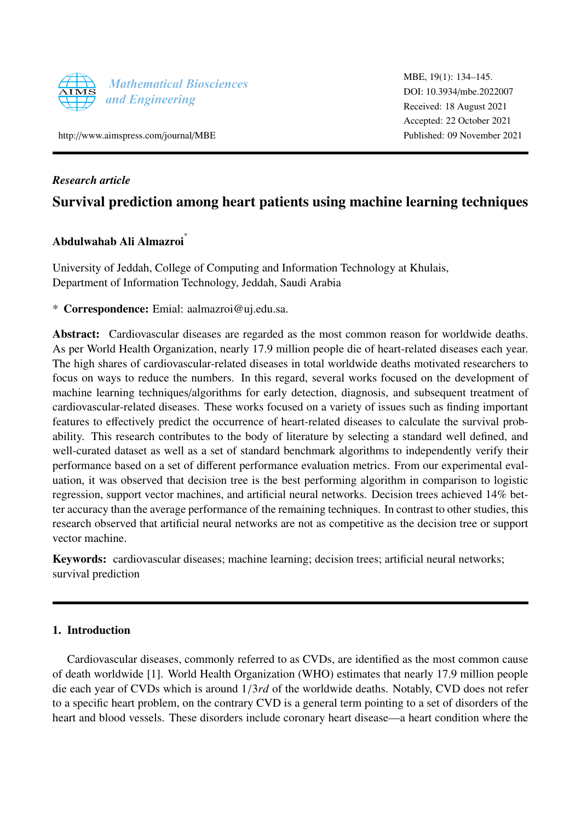

http://[www.aimspress.com](http://http://www.aimspress.com/journal/MBE)/journal/MBE

MBE, 19(1): 134–145. [DOI: 10.3934](http://dx.doi.org/10.3934/mbe.2022007)/mbe.2022007 Received: 18 August 2021 Accepted: 22 October 2021 Published: 09 November 2021

## *Research article*

## Survival prediction among heart patients using machine learning techniques

# Abdulwahab Ali Almazroi ∗

University of Jeddah, College of Computing and Information Technology at Khulais, Department of Information Technology, Jeddah, Saudi Arabia

\* Correspondence: Emial: aalmazroi@uj.edu.sa.

Abstract: Cardiovascular diseases are regarded as the most common reason for worldwide deaths. As per World Health Organization, nearly 17.9 million people die of heart-related diseases each year. The high shares of cardiovascular-related diseases in total worldwide deaths motivated researchers to focus on ways to reduce the numbers. In this regard, several works focused on the development of machine learning techniques/algorithms for early detection, diagnosis, and subsequent treatment of cardiovascular-related diseases. These works focused on a variety of issues such as finding important features to effectively predict the occurrence of heart-related diseases to calculate the survival probability. This research contributes to the body of literature by selecting a standard well defined, and well-curated dataset as well as a set of standard benchmark algorithms to independently verify their performance based on a set of different performance evaluation metrics. From our experimental evaluation, it was observed that decision tree is the best performing algorithm in comparison to logistic regression, support vector machines, and artificial neural networks. Decision trees achieved 14% better accuracy than the average performance of the remaining techniques. In contrast to other studies, this research observed that artificial neural networks are not as competitive as the decision tree or support vector machine.

Keywords: cardiovascular diseases; machine learning; decision trees; artificial neural networks; survival prediction

#### 1. Introduction

Cardiovascular diseases, commonly referred to as CVDs, are identified as the most common cause of death worldwide [\[1\]](#page-9-0). World Health Organization (WHO) estimates that nearly 17.9 million people die each year of CVDs which is around 1/3*rd* of the worldwide deaths. Notably, CVD does not refer to a specific heart problem, on the contrary CVD is a general term pointing to a set of disorders of the heart and blood vessels. These disorders include coronary heart disease—a heart condition where the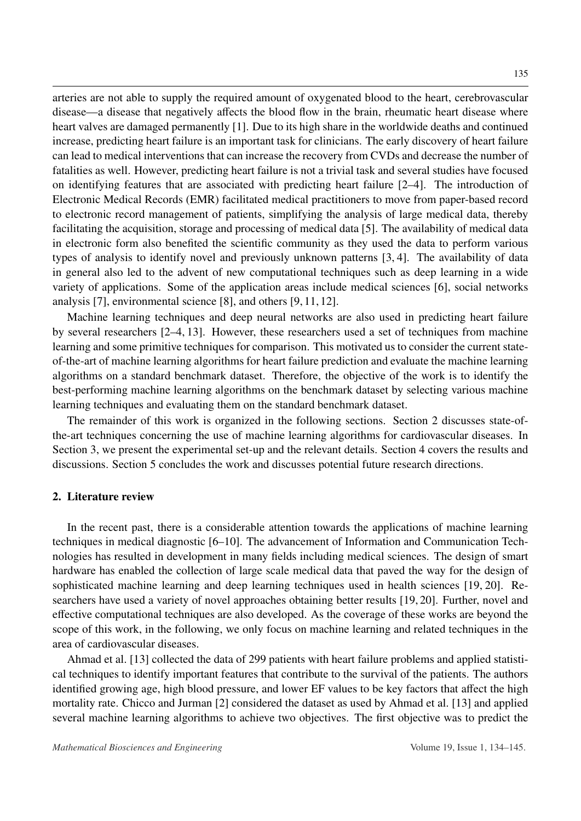arteries are not able to supply the required amount of oxygenated blood to the heart, cerebrovascular disease—a disease that negatively affects the blood flow in the brain, rheumatic heart disease where heart valves are damaged permanently [\[1\]](#page-9-0). Due to its high share in the worldwide deaths and continued increase, predicting heart failure is an important task for clinicians. The early discovery of heart failure can lead to medical interventions that can increase the recovery from CVDs and decrease the number of fatalities as well. However, predicting heart failure is not a trivial task and several studies have focused on identifying features that are associated with predicting heart failure [\[2–](#page-9-1)[4\]](#page-10-0). The introduction of Electronic Medical Records (EMR) facilitated medical practitioners to move from paper-based record to electronic record management of patients, simplifying the analysis of large medical data, thereby facilitating the acquisition, storage and processing of medical data [\[5\]](#page-10-1). The availability of medical data in electronic form also benefited the scientific community as they used the data to perform various types of analysis to identify novel and previously unknown patterns [\[3,](#page-9-2) [4\]](#page-10-0). The availability of data in general also led to the advent of new computational techniques such as deep learning in a wide variety of applications. Some of the application areas include medical sciences [6], social networks analysis [\[7\]](#page-10-2), environmental science [\[8\]](#page-10-3), and others [\[9,](#page-10-4) [11,](#page-10-5) [12\]](#page-10-6).

Machine learning techniques and deep neural networks are also used in predicting heart failure by several researchers [\[2–](#page-9-1)[4,](#page-10-0) [13\]](#page-10-7). However, these researchers used a set of techniques from machine learning and some primitive techniques for comparison. This motivated us to consider the current stateof-the-art of machine learning algorithms for heart failure prediction and evaluate the machine learning algorithms on a standard benchmark dataset. Therefore, the objective of the work is to identify the best-performing machine learning algorithms on the benchmark dataset by selecting various machine learning techniques and evaluating them on the standard benchmark dataset.

The remainder of this work is organized in the following sections. Section 2 discusses state-ofthe-art techniques concerning the use of machine learning algorithms for cardiovascular diseases. In Section 3, we present the experimental set-up and the relevant details. Section 4 covers the results and discussions. Section 5 concludes the work and discusses potential future research directions.

#### 2. Literature review

In the recent past, there is a considerable attention towards the applications of machine learning techniques in medical diagnostic [\[6–](#page-10-8)[10\]](#page-10-9). The advancement of Information and Communication Technologies has resulted in development in many fields including medical sciences. The design of smart hardware has enabled the collection of large scale medical data that paved the way for the design of sophisticated machine learning and deep learning techniques used in health sciences [\[19,](#page-11-0) [20\]](#page-11-1). Researchers have used a variety of novel approaches obtaining better results [\[19,](#page-11-0) [20\]](#page-11-1). Further, novel and effective computational techniques are also developed. As the coverage of these works are beyond the scope of this work, in the following, we only focus on machine learning and related techniques in the area of cardiovascular diseases.

Ahmad et al. [\[13\]](#page-10-7) collected the data of 299 patients with heart failure problems and applied statistical techniques to identify important features that contribute to the survival of the patients. The authors identified growing age, high blood pressure, and lower EF values to be key factors that affect the high mortality rate. Chicco and Jurman [\[2\]](#page-9-1) considered the dataset as used by Ahmad et al. [\[13\]](#page-10-7) and applied several machine learning algorithms to achieve two objectives. The first objective was to predict the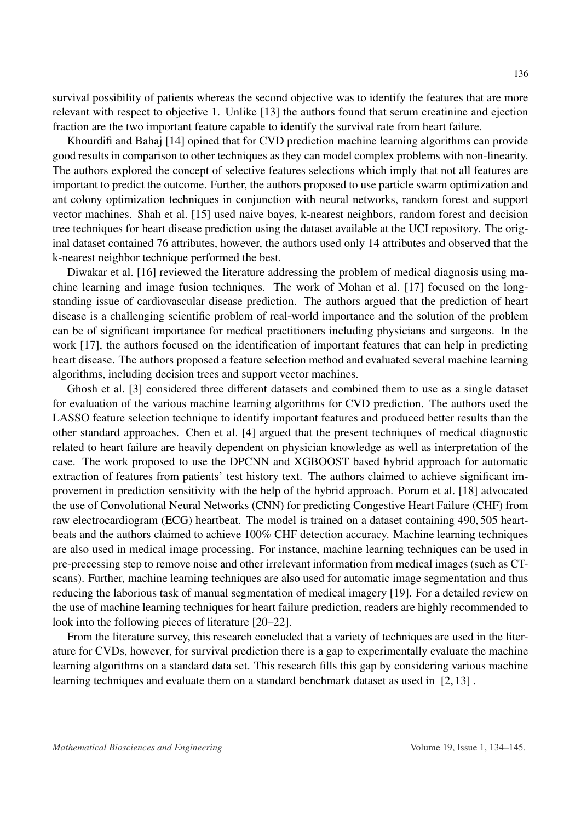survival possibility of patients whereas the second objective was to identify the features that are more relevant with respect to objective 1. Unlike [\[13\]](#page-10-7) the authors found that serum creatinine and ejection fraction are the two important feature capable to identify the survival rate from heart failure.

Khourdifi and Bahaj [\[14\]](#page-10-10) opined that for CVD prediction machine learning algorithms can provide good results in comparison to other techniques as they can model complex problems with non-linearity. The authors explored the concept of selective features selections which imply that not all features are important to predict the outcome. Further, the authors proposed to use particle swarm optimization and ant colony optimization techniques in conjunction with neural networks, random forest and support vector machines. Shah et al. [\[15\]](#page-10-11) used naive bayes, k-nearest neighbors, random forest and decision tree techniques for heart disease prediction using the dataset available at the UCI repository. The original dataset contained 76 attributes, however, the authors used only 14 attributes and observed that the k-nearest neighbor technique performed the best.

Diwakar et al. [\[16\]](#page-10-12) reviewed the literature addressing the problem of medical diagnosis using machine learning and image fusion techniques. The work of Mohan et al. [\[17\]](#page-10-13) focused on the longstanding issue of cardiovascular disease prediction. The authors argued that the prediction of heart disease is a challenging scientific problem of real-world importance and the solution of the problem can be of significant importance for medical practitioners including physicians and surgeons. In the work [\[17\]](#page-10-13), the authors focused on the identification of important features that can help in predicting heart disease. The authors proposed a feature selection method and evaluated several machine learning algorithms, including decision trees and support vector machines.

Ghosh et al. [\[3\]](#page-9-2) considered three different datasets and combined them to use as a single dataset for evaluation of the various machine learning algorithms for CVD prediction. The authors used the LASSO feature selection technique to identify important features and produced better results than the other standard approaches. Chen et al. [\[4\]](#page-10-0) argued that the present techniques of medical diagnostic related to heart failure are heavily dependent on physician knowledge as well as interpretation of the case. The work proposed to use the DPCNN and XGBOOST based hybrid approach for automatic extraction of features from patients' test history text. The authors claimed to achieve significant improvement in prediction sensitivity with the help of the hybrid approach. Porum et al. [\[18\]](#page-10-14) advocated the use of Convolutional Neural Networks (CNN) for predicting Congestive Heart Failure (CHF) from raw electrocardiogram (ECG) heartbeat. The model is trained on a dataset containing 490, 505 heartbeats and the authors claimed to achieve 100% CHF detection accuracy. Machine learning techniques are also used in medical image processing. For instance, machine learning techniques can be used in pre-precessing step to remove noise and other irrelevant information from medical images (such as CTscans). Further, machine learning techniques are also used for automatic image segmentation and thus reducing the laborious task of manual segmentation of medical imagery [\[19\]](#page-11-0). For a detailed review on the use of machine learning techniques for heart failure prediction, readers are highly recommended to look into the following pieces of literature [\[20](#page-11-1)[–22\]](#page-11-2).

From the literature survey, this research concluded that a variety of techniques are used in the literature for CVDs, however, for survival prediction there is a gap to experimentally evaluate the machine learning algorithms on a standard data set. This research fills this gap by considering various machine learning techniques and evaluate them on a standard benchmark dataset as used in [\[2,](#page-9-1) [13\]](#page-10-7) .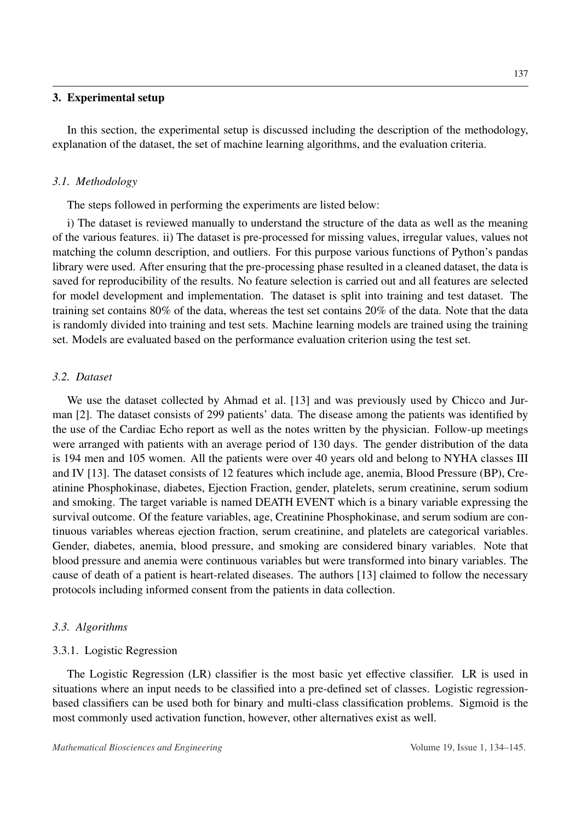#### 3. Experimental setup

In this section, the experimental setup is discussed including the description of the methodology, explanation of the dataset, the set of machine learning algorithms, and the evaluation criteria.

#### *3.1. Methodology*

The steps followed in performing the experiments are listed below:

i) The dataset is reviewed manually to understand the structure of the data as well as the meaning of the various features. ii) The dataset is pre-processed for missing values, irregular values, values not matching the column description, and outliers. For this purpose various functions of Python's pandas library were used. After ensuring that the pre-processing phase resulted in a cleaned dataset, the data is saved for reproducibility of the results. No feature selection is carried out and all features are selected for model development and implementation. The dataset is split into training and test dataset. The training set contains 80% of the data, whereas the test set contains 20% of the data. Note that the data is randomly divided into training and test sets. Machine learning models are trained using the training set. Models are evaluated based on the performance evaluation criterion using the test set.

#### *3.2. Dataset*

We use the dataset collected by Ahmad et al. [\[13\]](#page-10-7) and was previously used by Chicco and Jurman [\[2\]](#page-9-1). The dataset consists of 299 patients' data. The disease among the patients was identified by the use of the Cardiac Echo report as well as the notes written by the physician. Follow-up meetings were arranged with patients with an average period of 130 days. The gender distribution of the data is 194 men and 105 women. All the patients were over 40 years old and belong to NYHA classes III and IV [\[13\]](#page-10-7). The dataset consists of 12 features which include age, anemia, Blood Pressure (BP), Creatinine Phosphokinase, diabetes, Ejection Fraction, gender, platelets, serum creatinine, serum sodium and smoking. The target variable is named DEATH EVENT which is a binary variable expressing the survival outcome. Of the feature variables, age, Creatinine Phosphokinase, and serum sodium are continuous variables whereas ejection fraction, serum creatinine, and platelets are categorical variables. Gender, diabetes, anemia, blood pressure, and smoking are considered binary variables. Note that blood pressure and anemia were continuous variables but were transformed into binary variables. The cause of death of a patient is heart-related diseases. The authors [\[13\]](#page-10-7) claimed to follow the necessary protocols including informed consent from the patients in data collection.

#### *3.3. Algorithms*

#### 3.3.1. Logistic Regression

The Logistic Regression (LR) classifier is the most basic yet effective classifier. LR is used in situations where an input needs to be classified into a pre-defined set of classes. Logistic regressionbased classifiers can be used both for binary and multi-class classification problems. Sigmoid is the most commonly used activation function, however, other alternatives exist as well.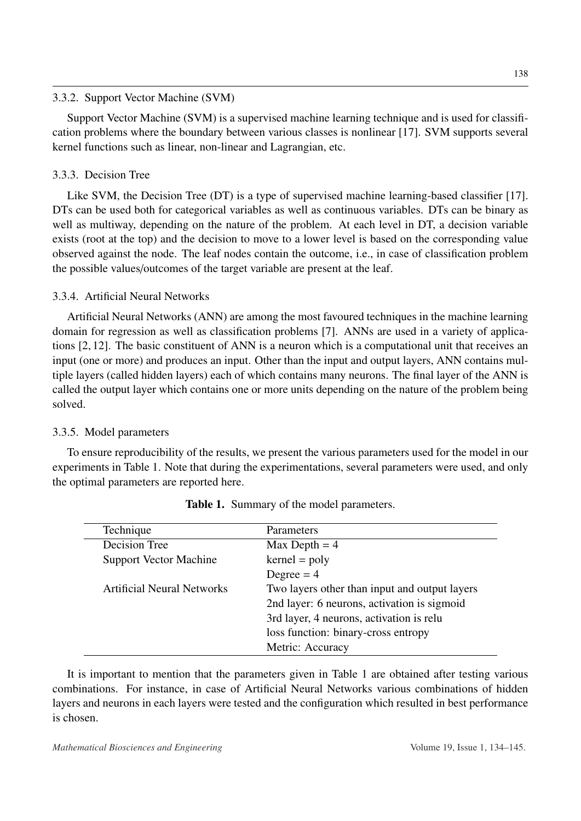#### 3.3.2. Support Vector Machine (SVM)

Support Vector Machine (SVM) is a supervised machine learning technique and is used for classification problems where the boundary between various classes is nonlinear [\[17\]](#page-10-13). SVM supports several kernel functions such as linear, non-linear and Lagrangian, etc.

## 3.3.3. Decision Tree

Like SVM, the Decision Tree (DT) is a type of supervised machine learning-based classifier [\[17\]](#page-10-13). DTs can be used both for categorical variables as well as continuous variables. DTs can be binary as well as multiway, depending on the nature of the problem. At each level in DT, a decision variable exists (root at the top) and the decision to move to a lower level is based on the corresponding value observed against the node. The leaf nodes contain the outcome, i.e., in case of classification problem the possible values/outcomes of the target variable are present at the leaf.

## 3.3.4. Artificial Neural Networks

Artificial Neural Networks (ANN) are among the most favoured techniques in the machine learning domain for regression as well as classification problems [\[7\]](#page-10-2). ANNs are used in a variety of applications [\[2,](#page-9-1) [12\]](#page-10-6). The basic constituent of ANN is a neuron which is a computational unit that receives an input (one or more) and produces an input. Other than the input and output layers, ANN contains multiple layers (called hidden layers) each of which contains many neurons. The final layer of the ANN is called the output layer which contains one or more units depending on the nature of the problem being solved.

## 3.3.5. Model parameters

To ensure reproducibility of the results, we present the various parameters used for the model in our experiments in Table [1.](#page-4-0) Note that during the experimentations, several parameters were used, and only the optimal parameters are reported here.

<span id="page-4-0"></span>

| Technique                     | <b>Parameters</b>                             |
|-------------------------------|-----------------------------------------------|
| Decision Tree                 | Max Depth $=$ 4                               |
| <b>Support Vector Machine</b> | $\text{kernel} = \text{poly}$                 |
|                               | Degree $= 4$                                  |
| Artificial Neural Networks    | Two layers other than input and output layers |
|                               | 2nd layer: 6 neurons, activation is sigmoid   |
|                               | 3rd layer, 4 neurons, activation is relu      |
|                               | loss function: binary-cross entropy           |
|                               | Metric: Accuracy                              |

| <b>Table 1.</b> Summary of the model parameters. |  |  |
|--------------------------------------------------|--|--|
|--------------------------------------------------|--|--|

It is important to mention that the parameters given in Table [1](#page-4-0) are obtained after testing various combinations. For instance, in case of Artificial Neural Networks various combinations of hidden layers and neurons in each layers were tested and the configuration which resulted in best performance is chosen.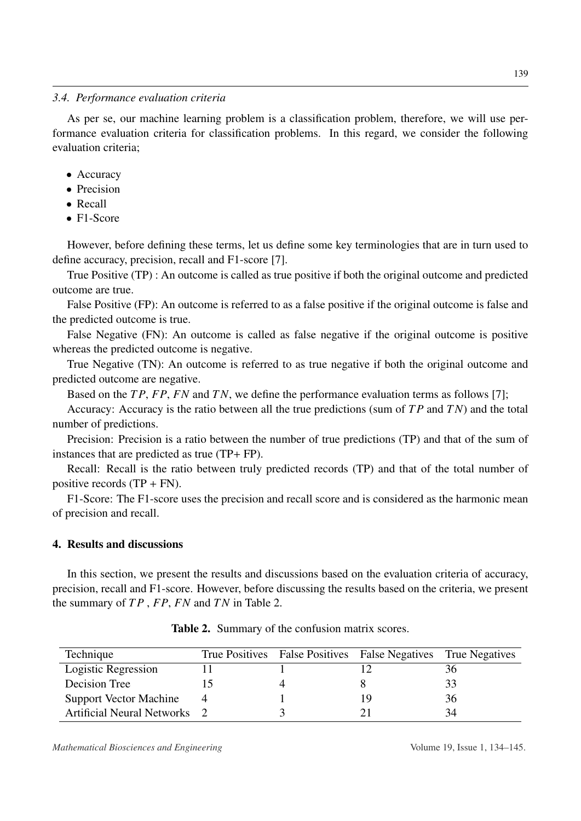#### *3.4. Performance evaluation criteria*

As per se, our machine learning problem is a classification problem, therefore, we will use performance evaluation criteria for classification problems. In this regard, we consider the following evaluation criteria;

- Accuracy
- Precision
- Recall
- F1-Score

However, before defining these terms, let us define some key terminologies that are in turn used to define accuracy, precision, recall and F1-score [\[7\]](#page-10-2).

True Positive (TP) : An outcome is called as true positive if both the original outcome and predicted outcome are true.

False Positive (FP): An outcome is referred to as a false positive if the original outcome is false and the predicted outcome is true.

False Negative (FN): An outcome is called as false negative if the original outcome is positive whereas the predicted outcome is negative.

True Negative (TN): An outcome is referred to as true negative if both the original outcome and predicted outcome are negative.

Based on the *T P*, *FP*, *FN* and *T N*, we define the performance evaluation terms as follows [\[7\]](#page-10-2);

Accuracy: Accuracy is the ratio between all the true predictions (sum of *T P* and *T N*) and the total number of predictions.

Precision: Precision is a ratio between the number of true predictions (TP) and that of the sum of instances that are predicted as true (TP+ FP).

Recall: Recall is the ratio between truly predicted records (TP) and that of the total number of positive records  $(TP + FN)$ .

F1-Score: The F1-score uses the precision and recall score and is considered as the harmonic mean of precision and recall.

## 4. Results and discussions

In this section, we present the results and discussions based on the evaluation criteria of accuracy, precision, recall and F1-score. However, before discussing the results based on the criteria, we present the summary of *T P* , *FP*, *FN* and *T N* in Table [2.](#page-5-0)

<span id="page-5-0"></span>

| Technique                           |  | True Positives False Positives False Negatives | True Negatives |
|-------------------------------------|--|------------------------------------------------|----------------|
| Logistic Regression                 |  |                                                | .30.           |
| Decision Tree                       |  |                                                |                |
| <b>Support Vector Machine</b>       |  |                                                | 36.            |
| <b>Artificial Neural Networks</b> 2 |  |                                                | 34             |

Table 2. Summary of the confusion matrix scores.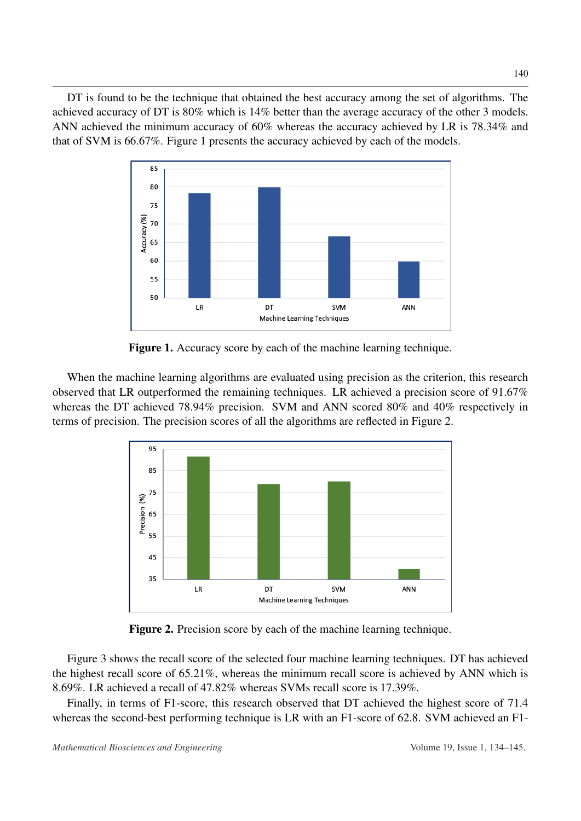<span id="page-6-0"></span>DT is found to be the technique that obtained the best accuracy among the set of algorithms. The achieved accuracy of DT is 80% which is 14% better than the average accuracy of the other 3 models. ANN achieved the minimum accuracy of 60% whereas the accuracy achieved by LR is 78.34% and that of SVM is 66.67%. Figure [1](#page-6-0) presents the accuracy achieved by each of the models.



Figure 1. Accuracy score by each of the machine learning technique.

<span id="page-6-1"></span>When the machine learning algorithms are evaluated using precision as the criterion, this research observed that LR outperformed the remaining techniques. LR achieved a precision score of 91.67% whereas the DT achieved 78.94% precision. SVM and ANN scored 80% and 40% respectively in terms of precision. The precision scores of all the algorithms are reflected in Figure [2.](#page-6-1)



Figure 2. Precision score by each of the machine learning technique.

Figure [3](#page-7-0) shows the recall score of the selected four machine learning techniques. DT has achieved the highest recall score of 65.21%, whereas the minimum recall score is achieved by ANN which is 8.69%. LR achieved a recall of 47.82% whereas SVMs recall score is 17.39%.

Finally, in terms of F1-score, this research observed that DT achieved the highest score of 71.4 whereas the second-best performing technique is LR with an F1-score of 62.8. SVM achieved an F1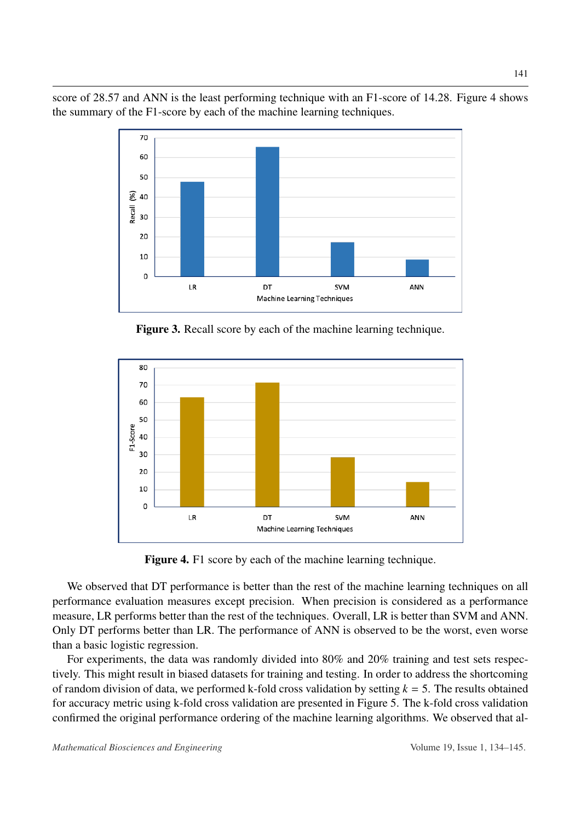<span id="page-7-0"></span>score of 28.57 and ANN is the least performing technique with an F1-score of 14.28. Figure [4](#page-7-1) shows the summary of the F1-score by each of the machine learning techniques.



Figure 3. Recall score by each of the machine learning technique.

<span id="page-7-1"></span>

Figure 4. F1 score by each of the machine learning technique.

We observed that DT performance is better than the rest of the machine learning techniques on all performance evaluation measures except precision. When precision is considered as a performance measure, LR performs better than the rest of the techniques. Overall, LR is better than SVM and ANN. Only DT performs better than LR. The performance of ANN is observed to be the worst, even worse than a basic logistic regression.

For experiments, the data was randomly divided into 80% and 20% training and test sets respectively. This might result in biased datasets for training and testing. In order to address the shortcoming of random division of data, we performed k-fold cross validation by setting *k* = 5. The results obtained for accuracy metric using k-fold cross validation are presented in Figure [5.](#page-8-0) The k-fold cross validation confirmed the original performance ordering of the machine learning algorithms. We observed that al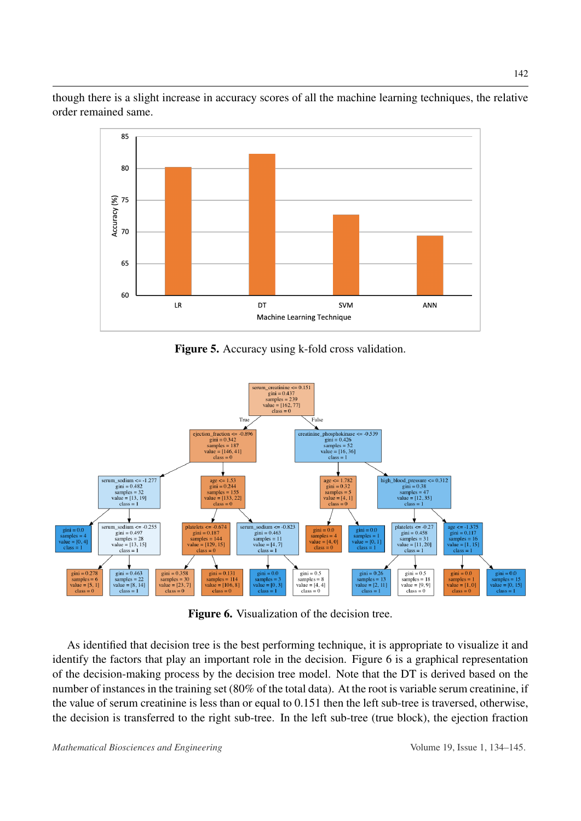<span id="page-8-0"></span>though there is a slight increase in accuracy scores of all the machine learning techniques, the relative order remained same.



Figure 5. Accuracy using k-fold cross validation.

<span id="page-8-1"></span>

Figure 6. Visualization of the decision tree.

As identified that decision tree is the best performing technique, it is appropriate to visualize it and identify the factors that play an important role in the decision. Figure [6](#page-8-1) is a graphical representation of the decision-making process by the decision tree model. Note that the DT is derived based on the number of instances in the training set (80% of the total data). At the root is variable serum creatinine, if the value of serum creatinine is less than or equal to 0.151 then the left sub-tree is traversed, otherwise, the decision is transferred to the right sub-tree. In the left sub-tree (true block), the ejection fraction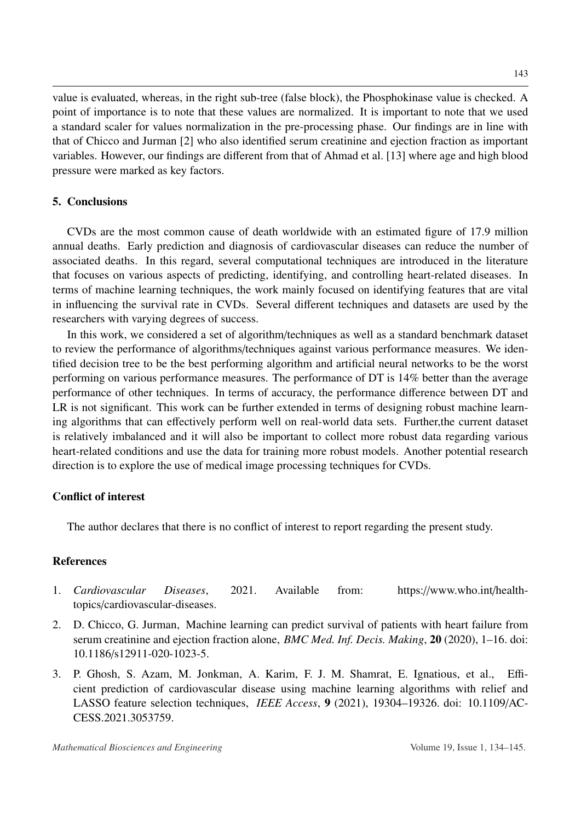value is evaluated, whereas, in the right sub-tree (false block), the Phosphokinase value is checked. A point of importance is to note that these values are normalized. It is important to note that we used a standard scaler for values normalization in the pre-processing phase. Our findings are in line with that of Chicco and Jurman [2] who also identified serum creatinine and ejection fraction as important variables. However, our findings are different from that of Ahmad et al. [\[13\]](#page-10-7) where age and high blood pressure were marked as key factors.

## 5. Conclusions

CVDs are the most common cause of death worldwide with an estimated figure of 17.9 million annual deaths. Early prediction and diagnosis of cardiovascular diseases can reduce the number of associated deaths. In this regard, several computational techniques are introduced in the literature that focuses on various aspects of predicting, identifying, and controlling heart-related diseases. In terms of machine learning techniques, the work mainly focused on identifying features that are vital in influencing the survival rate in CVDs. Several different techniques and datasets are used by the researchers with varying degrees of success.

In this work, we considered a set of algorithm/techniques as well as a standard benchmark dataset to review the performance of algorithms/techniques against various performance measures. We identified decision tree to be the best performing algorithm and artificial neural networks to be the worst performing on various performance measures. The performance of DT is 14% better than the average performance of other techniques. In terms of accuracy, the performance difference between DT and LR is not significant. This work can be further extended in terms of designing robust machine learning algorithms that can effectively perform well on real-world data sets. Further,the current dataset is relatively imbalanced and it will also be important to collect more robust data regarding various heart-related conditions and use the data for training more robust models. Another potential research direction is to explore the use of medical image processing techniques for CVDs.

## Conflict of interest

The author declares that there is no conflict of interest to report regarding the present study.

## References

- <span id="page-9-0"></span>1. *Cardiovascular Diseases*, 2021. Available from: https://www.who.int/healthtopics/cardiovascular-diseases.
- <span id="page-9-1"></span>2. D. Chicco, G. Jurman, Machine learning can predict survival of patients with heart failure from serum creatinine and ejection fraction alone, *BMC Med. Inf. Decis. Making*, 20 (2020), 1–16. doi: 10.1186/s12911-020-1023-5.
- <span id="page-9-2"></span>3. P. Ghosh, S. Azam, M. Jonkman, A. Karim, F. J. M. Shamrat, E. Ignatious, et al., Efficient prediction of cardiovascular disease using machine learning algorithms with relief and LASSO feature selection techniques, *IEEE Access*, 9 (2021), 19304–19326. doi: 10.1109/AC-CESS.2021.3053759.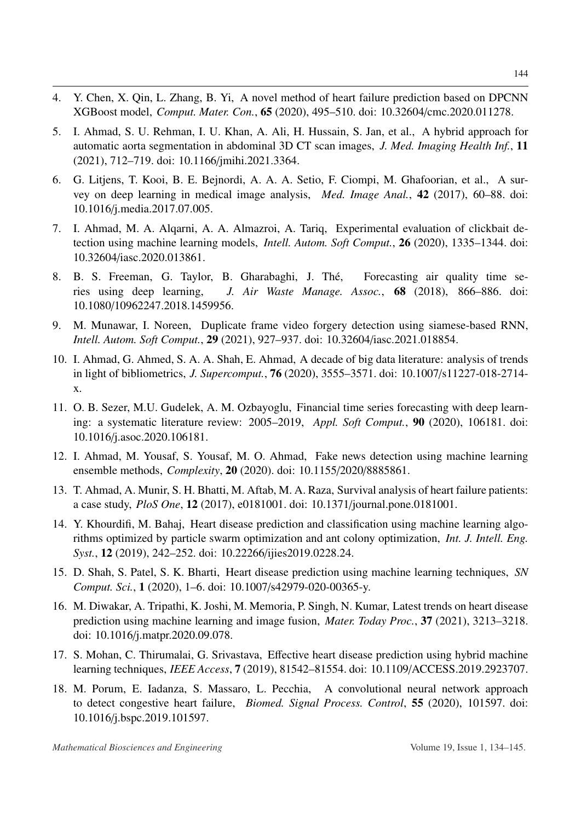- <span id="page-10-0"></span>4. Y. Chen, X. Qin, L. Zhang, B. Yi, A novel method of heart failure prediction based on DPCNN XGBoost model, *Comput. Mater. Con.*, 65 (2020), 495–510. doi: 10.32604/cmc.2020.011278.
- <span id="page-10-1"></span>5. I. Ahmad, S. U. Rehman, I. U. Khan, A. Ali, H. Hussain, S. Jan, et al., A hybrid approach for automatic aorta segmentation in abdominal 3D CT scan images, *J. Med. Imaging Health Inf.*, 11 (2021), 712–719. doi: 10.1166/jmihi.2021.3364.
- <span id="page-10-8"></span>6. G. Litjens, T. Kooi, B. E. Bejnordi, A. A. A. Setio, F. Ciompi, M. Ghafoorian, et al., A survey on deep learning in medical image analysis, *Med. Image Anal.*, 42 (2017), 60–88. doi: 10.1016/j.media.2017.07.005.
- <span id="page-10-2"></span>7. I. Ahmad, M. A. Alqarni, A. A. Almazroi, A. Tariq, Experimental evaluation of clickbait detection using machine learning models, *Intell. Autom. Soft Comput.*, 26 (2020), 1335–1344. doi: 10.32604/iasc.2020.013861.
- <span id="page-10-3"></span>8. B. S. Freeman, G. Taylor, B. Gharabaghi, J. The, Forecasting air quality time se- ´ ries using deep learning, *J. Air Waste Manage. Assoc.*, 68 (2018), 866–886. doi: 10.1080/10962247.2018.1459956.
- <span id="page-10-4"></span>9. M. Munawar, I. Noreen, Duplicate frame video forgery detection using siamese-based RNN, *Intell. Autom. Soft Comput.*, 29 (2021), 927–937. doi: 10.32604/iasc.2021.018854.
- <span id="page-10-9"></span>10. I. Ahmad, G. Ahmed, S. A. A. Shah, E. Ahmad, A decade of big data literature: analysis of trends in light of bibliometrics, *J. Supercomput.*, 76 (2020), 3555–3571. doi: 10.1007/s11227-018-2714 x.
- <span id="page-10-5"></span>11. O. B. Sezer, M.U. Gudelek, A. M. Ozbayoglu, Financial time series forecasting with deep learning: a systematic literature review: 2005–2019, *Appl. Soft Comput.*, 90 (2020), 106181. doi: 10.1016/j.asoc.2020.106181.
- <span id="page-10-6"></span>12. I. Ahmad, M. Yousaf, S. Yousaf, M. O. Ahmad, Fake news detection using machine learning ensemble methods, *Complexity*, 20 (2020). doi: 10.1155/2020/8885861.
- <span id="page-10-7"></span>13. T. Ahmad, A. Munir, S. H. Bhatti, M. Aftab, M. A. Raza, Survival analysis of heart failure patients: a case study, *PloS One*, 12 (2017), e0181001. doi: 10.1371/journal.pone.0181001.
- <span id="page-10-10"></span>14. Y. Khourdifi, M. Bahaj, Heart disease prediction and classification using machine learning algorithms optimized by particle swarm optimization and ant colony optimization, *Int. J. Intell. Eng. Syst.*, 12 (2019), 242–252. doi: 10.22266/ijies2019.0228.24.
- <span id="page-10-11"></span>15. D. Shah, S. Patel, S. K. Bharti, Heart disease prediction using machine learning techniques, *SN Comput. Sci.*, 1 (2020), 1–6. doi: 10.1007/s42979-020-00365-y.
- <span id="page-10-12"></span>16. M. Diwakar, A. Tripathi, K. Joshi, M. Memoria, P. Singh, N. Kumar, Latest trends on heart disease prediction using machine learning and image fusion, *Mater. Today Proc.*, 37 (2021), 3213–3218. doi: 10.1016/j.matpr.2020.09.078.
- <span id="page-10-13"></span>17. S. Mohan, C. Thirumalai, G. Srivastava, Effective heart disease prediction using hybrid machine learning techniques, *IEEE Access*, 7 (2019), 81542–81554. doi: 10.1109/ACCESS.2019.2923707.
- <span id="page-10-14"></span>18. M. Porum, E. Iadanza, S. Massaro, L. Pecchia, A convolutional neural network approach to detect congestive heart failure, *Biomed. Signal Process. Control*, 55 (2020), 101597. doi: 10.1016/j.bspc.2019.101597.